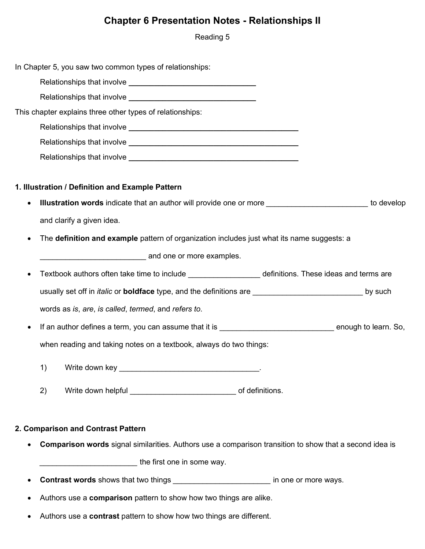## **Chapter 6 Presentation Notes - Relationships II**

Reading 5

|           | In Chapter 5, you saw two common types of relationships:                                                                                                                                                                                       |  |
|-----------|------------------------------------------------------------------------------------------------------------------------------------------------------------------------------------------------------------------------------------------------|--|
|           |                                                                                                                                                                                                                                                |  |
|           |                                                                                                                                                                                                                                                |  |
|           | This chapter explains three other types of relationships:                                                                                                                                                                                      |  |
|           |                                                                                                                                                                                                                                                |  |
|           |                                                                                                                                                                                                                                                |  |
|           |                                                                                                                                                                                                                                                |  |
|           |                                                                                                                                                                                                                                                |  |
|           | 1. Illustration / Definition and Example Pattern                                                                                                                                                                                               |  |
| $\bullet$ | Illustration words indicate that an author will provide one or more ___________________________ to develop                                                                                                                                     |  |
|           | and clarify a given idea.                                                                                                                                                                                                                      |  |
| $\bullet$ | The definition and example pattern of organization includes just what its name suggests: a                                                                                                                                                     |  |
|           | and one or more examples.                                                                                                                                                                                                                      |  |
| $\bullet$ | Textbook authors often take time to include ____________________ definitions. These ideas and terms are                                                                                                                                        |  |
|           | usually set off in <i>italic</i> or <b>boldface</b> type, and the definitions are <b>with the contract of the set of the set of the set of the set of the set of the set of the set of the set of the set of the set of the set of the set</b> |  |
|           |                                                                                                                                                                                                                                                |  |
|           | words as is, are, is called, termed, and refers to.                                                                                                                                                                                            |  |
| $\bullet$ |                                                                                                                                                                                                                                                |  |
|           | when reading and taking notes on a textbook, always do two things:                                                                                                                                                                             |  |
|           |                                                                                                                                                                                                                                                |  |
|           | 2)                                                                                                                                                                                                                                             |  |
|           |                                                                                                                                                                                                                                                |  |
|           | 2. Comparison and Contrast Pattern                                                                                                                                                                                                             |  |
|           | <b>Comparison words</b> signal similarities. Authors use a comparison transition to show that a second idea is                                                                                                                                 |  |
|           | the first one in some way.                                                                                                                                                                                                                     |  |

- **Contrast words** shows that two things *\_\_\_\_\_\_\_\_\_\_\_\_\_\_\_\_\_\_\_\_\_\_\_* in one or more ways.
- Authors use a **comparison** pattern to show how two things are alike.
- Authors use a **contrast** pattern to show how two things are different.